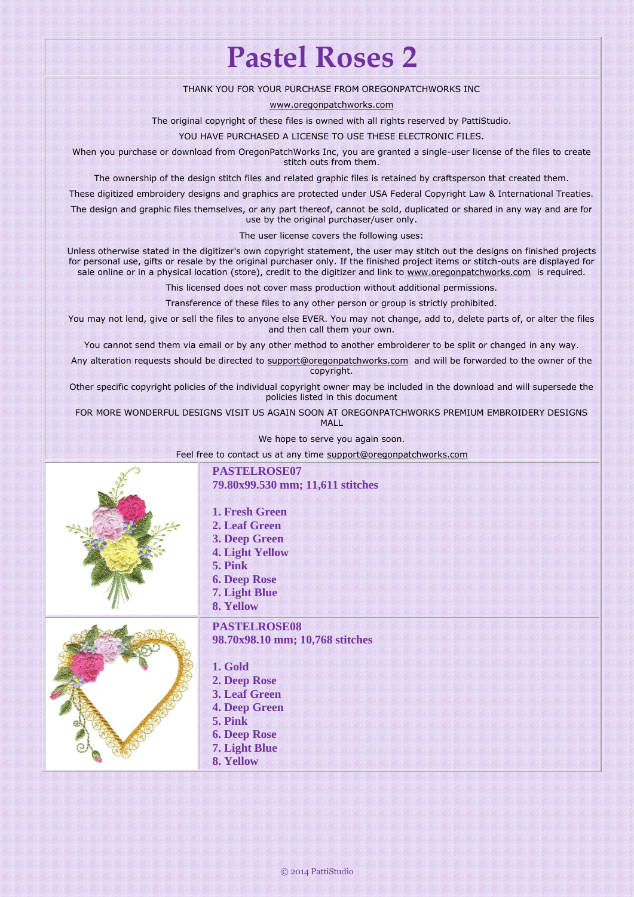## **Pastel Roses 2**

## THANK YOU FOR YOUR PURCHASE FROM OREGONPATCHWORKS INC

[www.oregonpatchworks.com](http://www.oregonpatchworks.com/)

The original copyright of these files is owned with all rights reserved by PattiStudio.

YOU HAVE PURCHASED A LICENSE TO USE THESE ELECTRONIC FILES.

When you purchase or download from OregonPatchWorks Inc, you are granted a single-user license of the files to create stitch outs from them.

The ownership of the design stitch files and related graphic files is retained by craftsperson that created them.

These digitized embroidery designs and graphics are protected under USA Federal Copyright Law & International Treaties.

The design and graphic files themselves, or any part thereof, cannot be sold, duplicated or shared in any way and are for use by the original purchaser/user only.

The user license covers the following uses:

Unless otherwise stated in the digitizer's own copyright statement, the user may stitch out the designs on finished projects for personal use, gifts or resale by the original purchaser only. If the finished project items or stitch-outs are displayed for sale online or in a physical location (store), credit to the digitizer and link to [www.oregonpatchworks.com](http://www.oregonpatchworks.com/) is required.

This licensed does not cover mass production without additional permissions.

Transference of these files to any other person or group is strictly prohibited.

You may not lend, give or sell the files to anyone else EVER. You may not change, add to, delete parts of, or alter the files and then call them your own.

You cannot send them via email or by any other method to another embroiderer to be split or changed in any way.

Any alteration requests should be directed to [support@oregonpatchworks.com](mailto:support@oregonpatchworks.com) and will be forwarded to the owner of the copyright.

Other specific copyright policies of the individual copyright owner may be included in the download and will supersede the policies listed in this document

FOR MORE WONDERFUL DESIGNS VISIT US AGAIN SOON AT OREGONPATCHWORKS PREMIUM EMBROIDERY DESIGNS MALL

We hope to serve you again soon.

Feel free to contact us at any time support@oregonpatchworks.cor

| PASTELROSE07<br>79.80x99.530 mm; 11,611 stitches<br>1. Fresh Green<br>2. Leaf Green<br>3. Deep Green<br><b>4. Light Yellow</b><br>5. Pink<br><b>6. Deep Rose</b><br>7. Light Blue<br>8. Yellow |
|------------------------------------------------------------------------------------------------------------------------------------------------------------------------------------------------|
| <b>PASTELROSE08</b><br>98.70x98.10 mm; 10,768 stitches<br>1. Gold<br>2. Deep Rose<br>3. Leaf Green<br><b>4. Deep Green</b><br>5. Pink<br><b>6. Deep Rose</b><br>7. Light Blue<br>8. Yellow     |